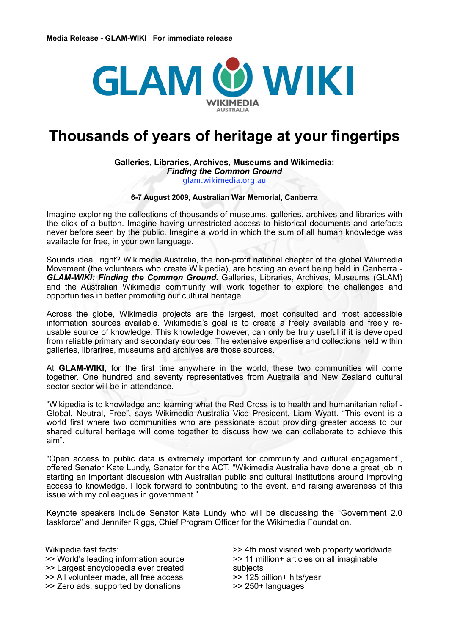

# **Thousands of years of heritage at your fingertips**

# **Galleries, Libraries, Archives, Museums and Wikimedia:**

*Finding the Common Ground*

[glam.wikimedia.org.au](http://glam.wikimedia.org.au)

# **6-7 August 2009, Australian War Memorial, Canberra**

Imagine exploring the collections of thousands of museums, galleries, archives and libraries with the click of a button. Imagine having unrestricted access to historical documents and artefacts never before seen by the public. Imagine a world in which the sum of all human knowledge was available for free, in your own language.

Sounds ideal, right? Wikimedia Australia, the non-profit national chapter of the global Wikimedia Movement (the volunteers who create Wikipedia), are hosting an event being held in Canberra - *GLAM-WIKI: Finding the Common Ground.* Galleries, Libraries, Archives, Museums (GLAM) and the Australian Wikimedia community will work together to explore the challenges and opportunities in better promoting our cultural heritage.

Across the globe, Wikimedia projects are the largest, most consulted and most accessible information sources available. Wikimedia's goal is to create a freely available and freely reusable source of knowledge. This knowledge however, can only be truly useful if it is developed from reliable primary and secondary sources. The extensive expertise and collections held within galleries, librarires, museums and archives *are* those sources.

At **GLAM-WIKI**, for the first time anywhere in the world, these two communities will come together. One hundred and seventy representatives from Australia and New Zealand cultural sector sector will be in attendance.

"Wikipedia is to knowledge and learning what the Red Cross is to health and humanitarian relief - Global, Neutral, Free", says Wikimedia Australia Vice President, Liam Wyatt. "This event is a world first where two communities who are passionate about providing greater access to our shared cultural heritage will come together to discuss how we can collaborate to achieve this aim".

"Open access to public data is extremely important for community and cultural engagement", offered Senator Kate Lundy, Senator for the ACT. "Wikimedia Australia have done a great job in starting an important discussion with Australian public and cultural institutions around improving access to knowledge. I look forward to contributing to the event, and raising awareness of this issue with my colleagues in government."

Keynote speakers include Senator Kate Lundy who will be discussing the "Government 2.0 taskforce" and Jennifer Riggs, Chief Program Officer for the Wikimedia Foundation.

Wikipedia fast facts: >> World's leading information source >> Largest encyclopedia ever created >> All volunteer made, all free access >> Zero ads, supported by donations

>> 4th most visited web property worldwide >> 11 million+ articles on all imaginable subjects >> 125 billion+ hits/year >> 250+ languages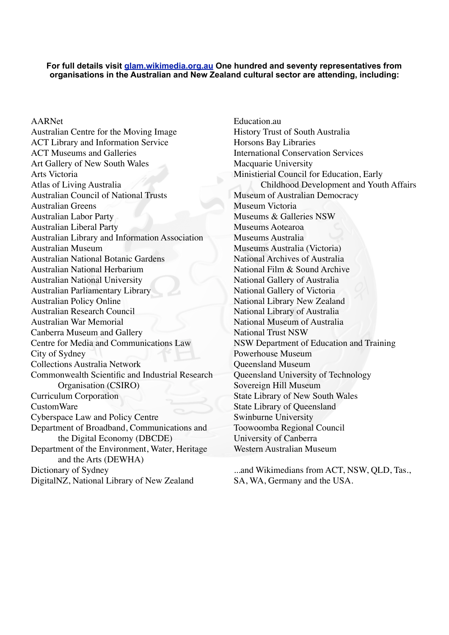#### **For full details visit [glam.wikimedia.org.au](http://wikimedia.org.au/wiki/GLAM) One hundred and seventy representatives from organisations in the Australian and New Zealand cultural sector are attending, including:**

AARNet Australian Centre for the Moving Image ACT Library and Information Service ACT Museums and Galleries Art Gallery of New South Wales Arts Victoria Atlas of Living Australia Australian Council of National Trusts Australian Greens Australian Labor Party Australian Liberal Party Australian Library and Information Association Australian Museum Australian National Botanic Gardens Australian National Herbarium Australian National University Australian Parliamentary Library Australian Policy Online Australian Research Council Australian War Memorial Canberra Museum and Gallery Centre for Media and Communications Law City of Sydney Collections Australia Network Commonwealth Scientific and Industrial Research Organisation (CSIRO) Curriculum Corporation CustomWare Cyberspace Law and Policy Centre Department of Broadband, Communications and the Digital Economy (DBCDE) Department of the Environment, Water, Heritage and the Arts (DEWHA) Dictionary of Sydney DigitalNZ, National Library of New Zealand

Education.au History Trust of South Australia Horsons Bay Libraries International Conservation Services Macquarie University Ministierial Council for Education, Early Childhood Development and Youth Affairs Museum of Australian Democracy Museum Victoria Museums & Galleries NSW Museums Aotearoa Museums Australia Museums Australia (Victoria) National Archives of Australia National Film & Sound Archive National Gallery of Australia National Gallery of Victoria National Library New Zealand National Library of Australia National Museum of Australia National Trust NSW NSW Department of Education and Training Powerhouse Museum Queensland Museum Queensland University of Technology Sovereign Hill Museum State Library of New South Wales State Library of Queensland Swinburne University Toowoomba Regional Council University of Canberra Western Australian Museum

...and Wikimedians from ACT, NSW, QLD, Tas., SA, WA, Germany and the USA.